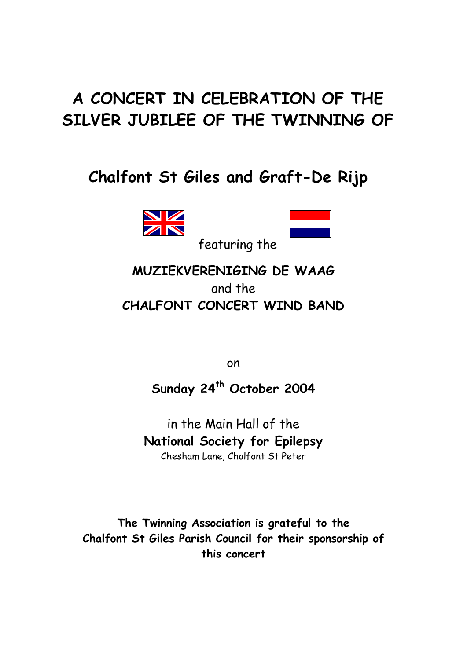# **A CONCERT IN CELEBRATION OF THE SILVER JUBILEE OF THE TWINNING OF**

## **Chalfont St Giles and Graft-De Rijp**





featuring the

### **MUZIEKVERENIGING DE WAAG** and the **CHALFONT CONCERT WIND BAND**

on

**Sunday 24th October 2004**

in the Main Hall of the **National Society for Epilepsy** Chesham Lane, Chalfont St Peter

**The Twinning Association is grateful to the Chalfont St Giles Parish Council for their sponsorship of this concert**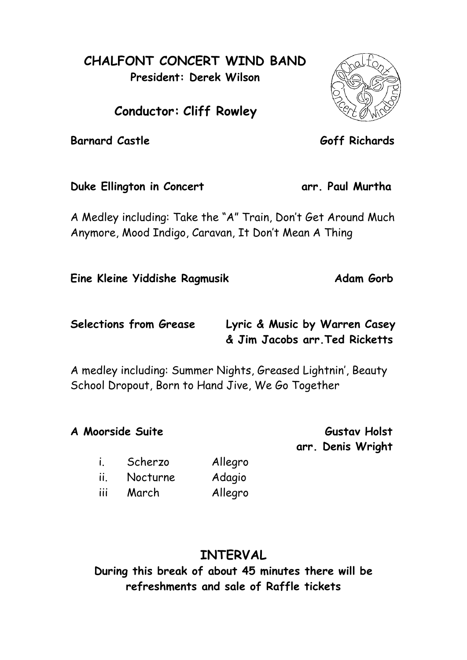#### **CHALFONT CONCERT WIND BAND President: Derek Wilson**

**Conductor: Cliff Rowley**

**Barnard Castle Goff Richards** 

Duke Ellington in Concert **arr. Paul Murtha** 

A Medley including: Take the "A" Train, Don't Get Around Much Anymore, Mood Indigo, Caravan, It Don't Mean A Thing

**Eine Kleine Yiddishe Ragmusik Adam Gorb** 

**Selections from Grease Lyric & Music by Warren Casey & Jim Jacobs arr.Ted Ricketts**

A medley including: Summer Nights, Greased Lightnin', Beauty School Dropout, Born to Hand Jive, We Go Together

**A Moorside Suite Gustav Holst** 

**arr. Denis Wright**

i. Scherzo Allegro ii. Nocturne Adagio

iii March Allegro

## **INTERVAL**

**During this break of about 45 minutes there will be refreshments and sale of Raffle tickets**